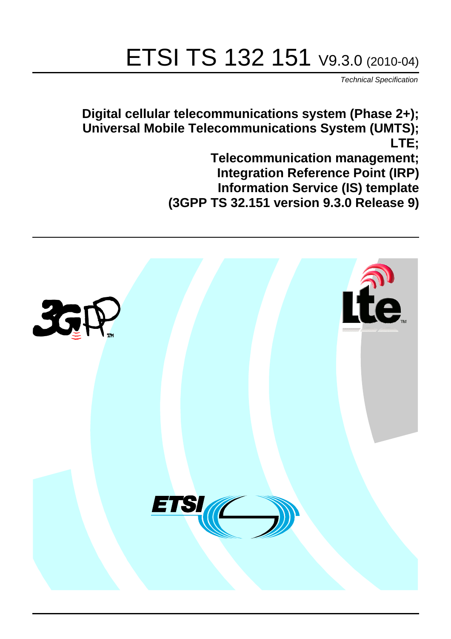# ETSI TS 132 151 V9.3.0 (2010-04)

*Technical Specification*

**Digital cellular telecommunications system (Phase 2+); Universal Mobile Telecommunications System (UMTS); LTE;**

> **Telecommunication management; Integration Reference Point (IRP) Information Service (IS) template (3GPP TS 32.151 version 9.3.0 Release 9)**

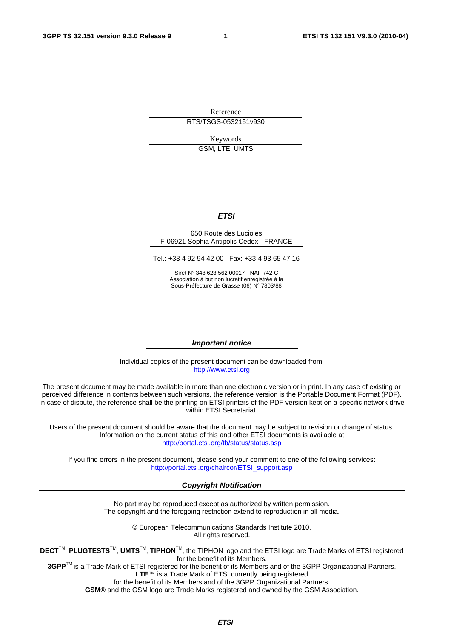Reference RTS/TSGS-0532151v930

> Keywords GSM, LTE, UMTS

#### *ETSI*

#### 650 Route des Lucioles F-06921 Sophia Antipolis Cedex - FRANCE

Tel.: +33 4 92 94 42 00 Fax: +33 4 93 65 47 16

Siret N° 348 623 562 00017 - NAF 742 C Association à but non lucratif enregistrée à la Sous-Préfecture de Grasse (06) N° 7803/88

#### *Important notice*

Individual copies of the present document can be downloaded from: [http://www.etsi.org](http://www.etsi.org/)

The present document may be made available in more than one electronic version or in print. In any case of existing or perceived difference in contents between such versions, the reference version is the Portable Document Format (PDF). In case of dispute, the reference shall be the printing on ETSI printers of the PDF version kept on a specific network drive within ETSI Secretariat.

Users of the present document should be aware that the document may be subject to revision or change of status. Information on the current status of this and other ETSI documents is available at <http://portal.etsi.org/tb/status/status.asp>

If you find errors in the present document, please send your comment to one of the following services: [http://portal.etsi.org/chaircor/ETSI\\_support.asp](http://portal.etsi.org/chaircor/ETSI_support.asp)

#### *Copyright Notification*

No part may be reproduced except as authorized by written permission. The copyright and the foregoing restriction extend to reproduction in all media.

> © European Telecommunications Standards Institute 2010. All rights reserved.

**DECT**TM, **PLUGTESTS**TM, **UMTS**TM, **TIPHON**TM, the TIPHON logo and the ETSI logo are Trade Marks of ETSI registered for the benefit of its Members.

**3GPP**TM is a Trade Mark of ETSI registered for the benefit of its Members and of the 3GPP Organizational Partners. **LTE**™ is a Trade Mark of ETSI currently being registered

for the benefit of its Members and of the 3GPP Organizational Partners.

**GSM**® and the GSM logo are Trade Marks registered and owned by the GSM Association.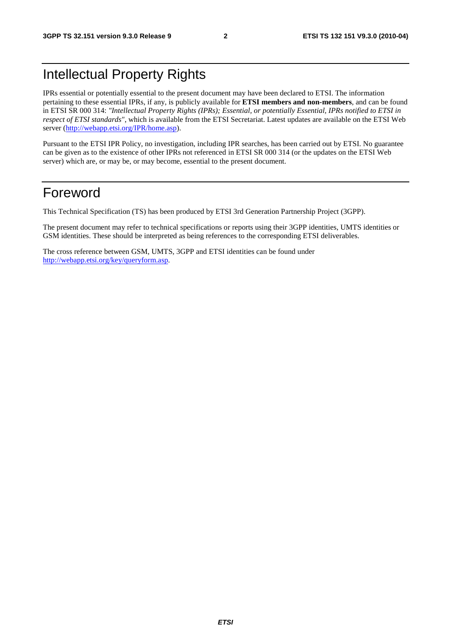# Intellectual Property Rights

IPRs essential or potentially essential to the present document may have been declared to ETSI. The information pertaining to these essential IPRs, if any, is publicly available for **ETSI members and non-members**, and can be found in ETSI SR 000 314: *"Intellectual Property Rights (IPRs); Essential, or potentially Essential, IPRs notified to ETSI in respect of ETSI standards"*, which is available from the ETSI Secretariat. Latest updates are available on the ETSI Web server ([http://webapp.etsi.org/IPR/home.asp\).](http://webapp.etsi.org/IPR/home.asp)

Pursuant to the ETSI IPR Policy, no investigation, including IPR searches, has been carried out by ETSI. No guarantee can be given as to the existence of other IPRs not referenced in ETSI SR 000 314 (or the updates on the ETSI Web server) which are, or may be, or may become, essential to the present document.

# Foreword

This Technical Specification (TS) has been produced by ETSI 3rd Generation Partnership Project (3GPP).

The present document may refer to technical specifications or reports using their 3GPP identities, UMTS identities or GSM identities. These should be interpreted as being references to the corresponding ETSI deliverables.

The cross reference between GSM, UMTS, 3GPP and ETSI identities can be found under [http://webapp.etsi.org/key/queryform.asp.](http://webapp.etsi.org/key/queryform.asp)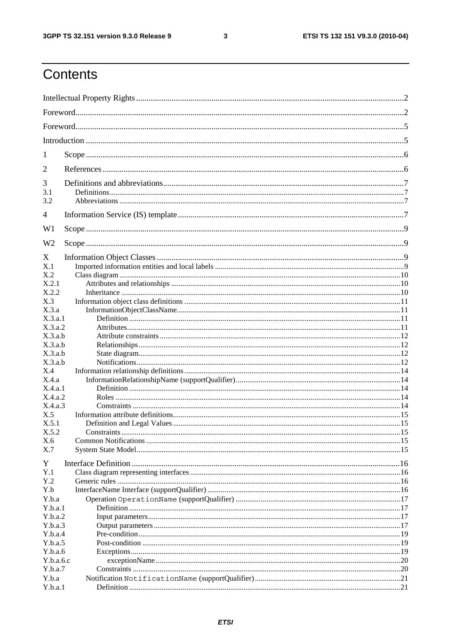#### $\mathbf{3}$

# Contents

| 1              |  |
|----------------|--|
| 2              |  |
| 3              |  |
| 3.1<br>3.2     |  |
| 4              |  |
| W <sub>1</sub> |  |
| W <sub>2</sub> |  |
| X              |  |
| X.1            |  |
| X.2            |  |
| X.2.1          |  |
| X.2.2          |  |
| X.3            |  |
| X.3.a          |  |
| X.3.a.1        |  |
| X.3.a.2        |  |
| X.3.a.b        |  |
| X.3.a.b        |  |
| X.3.a.b        |  |
| X.3.a.b        |  |
| X.4            |  |
| X.4.a          |  |
| X.4.a.1        |  |
| X.4.a.2        |  |
| X.4.a.3        |  |
| X.5            |  |
| X.5.1          |  |
| X.5.2          |  |
| X.6            |  |
| X.7            |  |
| Y              |  |
| Y.1            |  |
| Y.2            |  |
| Y.b            |  |
| Y.b.a          |  |
| Y.b.a.1        |  |
| Y.b.a.2        |  |
| Y.b.a.3        |  |
| Y.b.a.4        |  |
| Y.b.a.5        |  |
| Y.b.a.6        |  |
| Y.b.a.6.c      |  |
| Y.b.a.7        |  |
| Y.b.a          |  |
| Y.b.a.1        |  |
|                |  |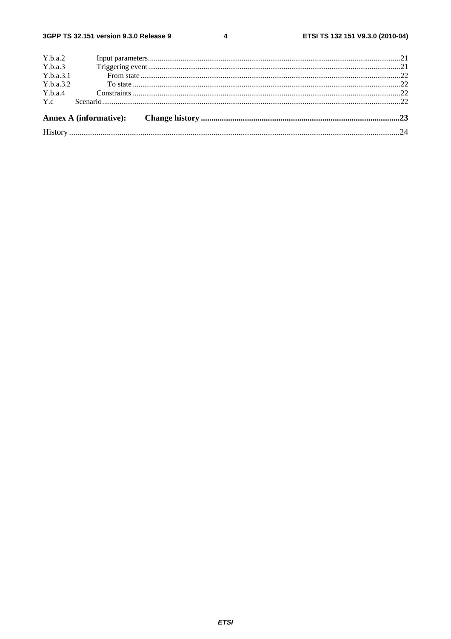$\overline{\mathbf{4}}$ 

| Y.b.a.4   |  |  |
|-----------|--|--|
| Y.b.a.3.2 |  |  |
| Y.b.a.3.1 |  |  |
| Y.b.a.3   |  |  |
| Y.b.a.2   |  |  |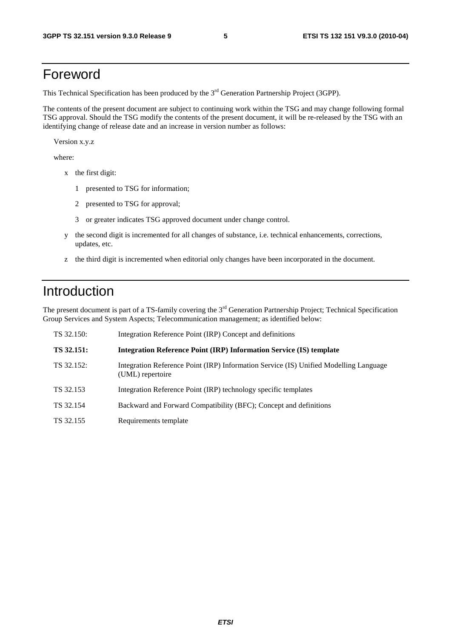# Foreword

This Technical Specification has been produced by the 3<sup>rd</sup> Generation Partnership Project (3GPP).

The contents of the present document are subject to continuing work within the TSG and may change following formal TSG approval. Should the TSG modify the contents of the present document, it will be re-released by the TSG with an identifying change of release date and an increase in version number as follows:

Version x.y.z

where:

- x the first digit:
	- 1 presented to TSG for information;
	- 2 presented to TSG for approval;
	- 3 or greater indicates TSG approved document under change control.
- y the second digit is incremented for all changes of substance, i.e. technical enhancements, corrections, updates, etc.
- z the third digit is incremented when editorial only changes have been incorporated in the document.

# Introduction

The present document is part of a TS-family covering the 3<sup>rd</sup> Generation Partnership Project; Technical Specification Group Services and System Aspects; Telecommunication management; as identified below:

| TS 32.150: | Integration Reference Point (IRP) Concept and definitions                                                 |
|------------|-----------------------------------------------------------------------------------------------------------|
| TS 32.151: | <b>Integration Reference Point (IRP) Information Service (IS) template</b>                                |
| TS 32.152: | Integration Reference Point (IRP) Information Service (IS) Unified Modelling Language<br>(UML) repertoire |
| TS 32.153  | Integration Reference Point (IRP) technology specific templates                                           |
| TS 32.154  | Backward and Forward Compatibility (BFC); Concept and definitions                                         |
| TS 32.155  | Requirements template                                                                                     |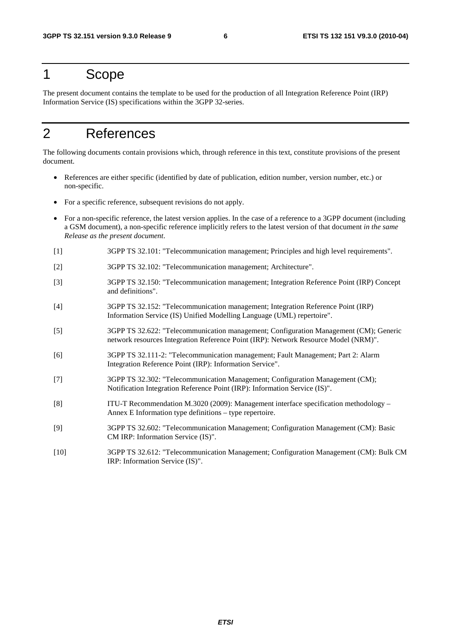### 1 Scope

The present document contains the template to be used for the production of all Integration Reference Point (IRP) Information Service (IS) specifications within the 3GPP 32-series.

# 2 References

The following documents contain provisions which, through reference in this text, constitute provisions of the present document.

- References are either specific (identified by date of publication, edition number, version number, etc.) or non-specific.
- For a specific reference, subsequent revisions do not apply.
- For a non-specific reference, the latest version applies. In the case of a reference to a 3GPP document (including a GSM document), a non-specific reference implicitly refers to the latest version of that document *in the same Release as the present document*.
- [1] 3GPP TS 32.101: "Telecommunication management; Principles and high level requirements".
- [2] 3GPP TS 32.102: "Telecommunication management; Architecture".
- [3] 3GPP TS 32.150: "Telecommunication management; Integration Reference Point (IRP) Concept and definitions".
- [4] 3GPP TS 32.152: "Telecommunication management; Integration Reference Point (IRP) Information Service (IS) Unified Modelling Language (UML) repertoire".
- [5] 3GPP TS 32.622: "Telecommunication management; Configuration Management (CM); Generic network resources Integration Reference Point (IRP): Network Resource Model (NRM)".
- [6] 3GPP TS 32.111-2: "Telecommunication management; Fault Management; Part 2: Alarm Integration Reference Point (IRP): Information Service".
- [7] 3GPP TS 32.302: "Telecommunication Management; Configuration Management (CM); Notification Integration Reference Point (IRP): Information Service (IS)".
- [8] ITU-T Recommendation M.3020 (2009): Management interface specification methodology Annex E Information type definitions – type repertoire.
- [9] 3GPP TS 32.602: "Telecommunication Management; Configuration Management (CM): Basic CM IRP: Information Service (IS)".
- [10] 3GPP TS 32.612: "Telecommunication Management; Configuration Management (CM): Bulk CM IRP: Information Service (IS)".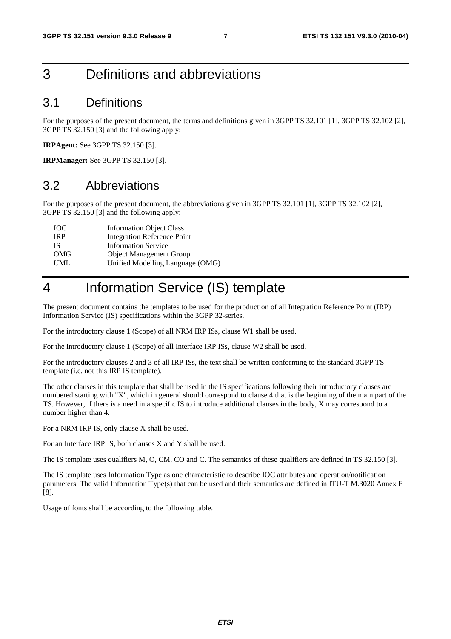# 3 Definitions and abbreviations

### 3.1 Definitions

For the purposes of the present document, the terms and definitions given in 3GPP TS 32.101 [1], 3GPP TS 32.102 [2], 3GPP TS 32.150 [3] and the following apply:

**IRPAgent:** See 3GPP TS 32.150 [3].

**IRPManager:** See 3GPP TS 32.150 [3].

### 3.2 Abbreviations

For the purposes of the present document, the abbreviations given in 3GPP TS 32.101 [1], 3GPP TS 32.102 [2], 3GPP TS 32.150 [3] and the following apply:

| <b>TOC</b> | <b>Information Object Class</b>    |
|------------|------------------------------------|
| <b>IRP</b> | <b>Integration Reference Point</b> |
| IS.        | <b>Information Service</b>         |
| OMG        | <b>Object Management Group</b>     |
| <b>UML</b> | Unified Modelling Language (OMG)   |
|            |                                    |

# 4 Information Service (IS) template

The present document contains the templates to be used for the production of all Integration Reference Point (IRP) Information Service (IS) specifications within the 3GPP 32-series.

For the introductory clause 1 (Scope) of all NRM IRP ISs, clause W1 shall be used.

For the introductory clause 1 (Scope) of all Interface IRP ISs, clause W2 shall be used.

For the introductory clauses 2 and 3 of all IRP ISs, the text shall be written conforming to the standard 3GPP TS template (i.e. not this IRP IS template).

The other clauses in this template that shall be used in the IS specifications following their introductory clauses are numbered starting with "X", which in general should correspond to clause 4 that is the beginning of the main part of the TS. However, if there is a need in a specific IS to introduce additional clauses in the body, X may correspond to a number higher than 4.

For a NRM IRP IS, only clause X shall be used.

For an Interface IRP IS, both clauses X and Y shall be used.

The IS template uses qualifiers M, O, CM, CO and C. The semantics of these qualifiers are defined in TS 32.150 [3].

The IS template uses Information Type as one characteristic to describe IOC attributes and operation/notification parameters. The valid Information Type(s) that can be used and their semantics are defined in ITU-T M.3020 Annex E [8].

Usage of fonts shall be according to the following table.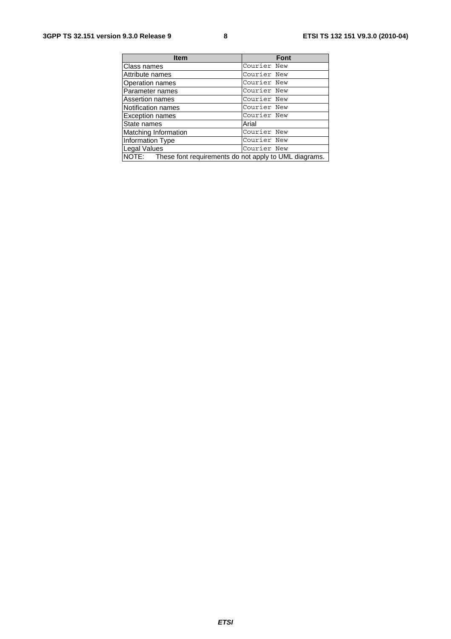| <b>Item</b>                                                 | <b>Font</b> |
|-------------------------------------------------------------|-------------|
| Class names                                                 | Courier New |
| Attribute names                                             | Courier New |
| Operation names                                             | Courier New |
| Parameter names                                             | Courier New |
| Assertion names                                             | Courier New |
| Notification names                                          | Courier New |
| <b>Exception names</b>                                      | Courier New |
| State names                                                 | Arial       |
| Matching Information                                        | Courier New |
| Information Type                                            | Courier New |
| Legal Values                                                | Courier New |
| NOTE: These font requirements do not apply to UML diagrams. |             |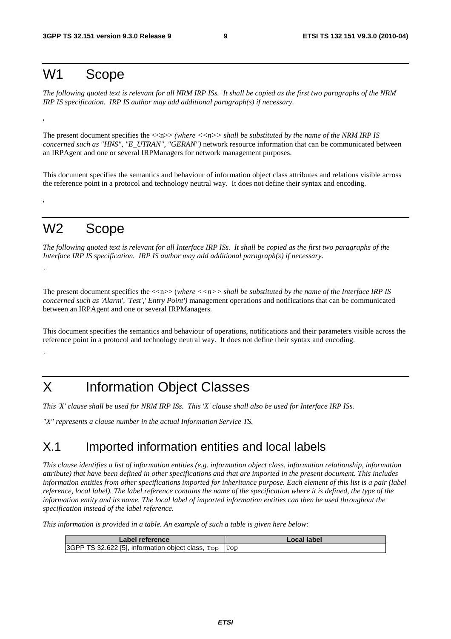# W1 Scope

'

'

*'* 

*'* 

*The following quoted text is relevant for all NRM IRP ISs. It shall be copied as the first two paragraphs of the NRM IRP IS specification. IRP IS author may add additional paragraph(s) if necessary.* 

The present document specifies the  $\langle \langle n \rangle \rangle$  (where  $\langle \langle n \rangle \rangle$  shall be substituted by the name of the NRM IRP IS *concerned such as "HNS", "E\_UTRAN", "GERAN")* network resource information that can be communicated between an IRPAgent and one or several IRPManagers for network management purposes.

This document specifies the semantics and behaviour of information object class attributes and relations visible across the reference point in a protocol and technology neutral way. It does not define their syntax and encoding.

# W2 Scope

*The following quoted text is relevant for all Interface IRP ISs. It shall be copied as the first two paragraphs of the Interface IRP IS specification. IRP IS author may add additional paragraph(s) if necessary.* 

The present document specifies the  $\langle \langle n \rangle \rangle$  (*where*  $\langle \langle n \rangle \rangle$  *shall be substituted by the name of the Interface IRP IS concerned such as 'Alarm', 'Test',' Entry Point')* management operations and notifications that can be communicated between an IRPAgent and one or several IRPManagers.

This document specifies the semantics and behaviour of operations, notifications and their parameters visible across the reference point in a protocol and technology neutral way. It does not define their syntax and encoding.

# X Information Object Classes

*This 'X' clause shall be used for NRM IRP ISs. This 'X' clause shall also be used for Interface IRP ISs.* 

*"X" represents a clause number in the actual Information Service TS.* 

### X.1 Imported information entities and local labels

*This clause identifies a list of information entities (e.g. information object class, information relationship, information attribute) that have been defined in other specifications and that are imported in the present document. This includes information entities from other specifications imported for inheritance purpose. Each element of this list is a pair (label reference, local label). The label reference contains the name of the specification where it is defined, the type of the information entity and its name. The local label of imported information entities can then be used throughout the specification instead of the label reference.* 

*This information is provided in a table. An example of such a table is given here below:* 

| ∟abel reference                                       | Local label |
|-------------------------------------------------------|-------------|
| 3GPP TS 32.622 [5], information object class, Top Top |             |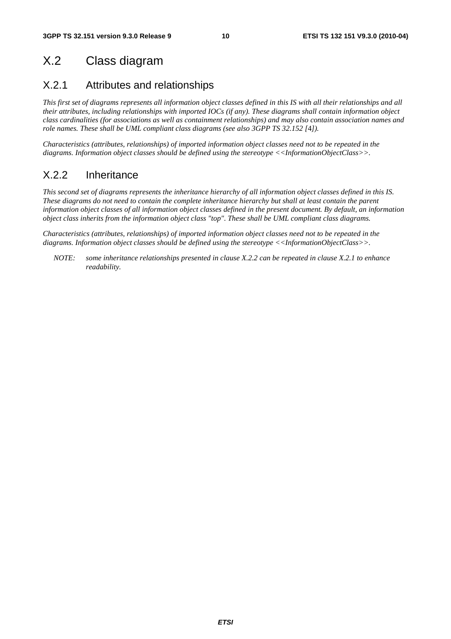# X.2 Class diagram

## X.2.1 Attributes and relationships

*This first set of diagrams represents all information object classes defined in this IS with all their relationships and all their attributes, including relationships with imported IOCs (if any). These diagrams shall contain information object class cardinalities (for associations as well as containment relationships) and may also contain association names and role names. These shall be UML compliant class diagrams (see also 3GPP TS 32.152 [*4*]).* 

*Characteristics (attributes, relationships) of imported information object classes need not to be repeated in the diagrams. Information object classes should be defined using the stereotype <<InformationObjectClass>>.* 

### X.2.2 Inheritance

*This second set of diagrams represents the inheritance hierarchy of all information object classes defined in this IS. These diagrams do not need to contain the complete inheritance hierarchy but shall at least contain the parent information object classes of all information object classes defined in the present document. By default, an information object class inherits from the information object class "top". These shall be UML compliant class diagrams.* 

*Characteristics (attributes, relationships) of imported information object classes need not to be repeated in the diagrams. Information object classes should be defined using the stereotype <<InformationObjectClass>>.* 

*NOTE: some inheritance relationships presented in clause X.2.2 can be repeated in clause X.2.1 to enhance readability.*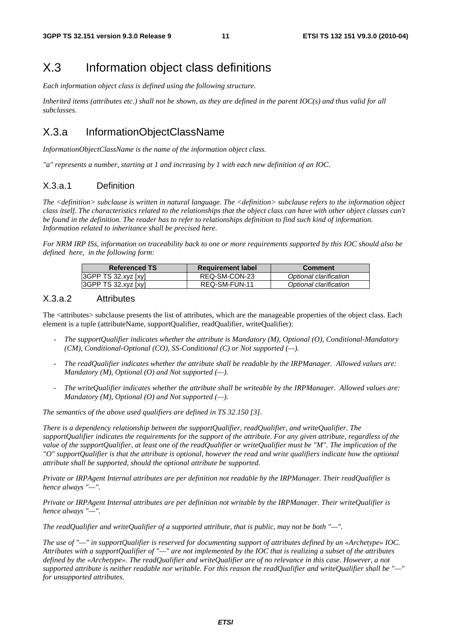# X.3 Information object class definitions

*Each information object class is defined using the following structure.* 

*Inherited items (attributes etc.) shall not be shown, as they are defined in the parent IOC(s) and thus valid for all subclasses.* 

### X.3.a InformationObjectClassName

*InformationObjectClassName is the name of the information object class.* 

*"a" represents a number, starting at 1 and increasing by 1 with each new definition of an IOC.* 

#### X.3.a.1 Definition

*The <definition> subclause is written in natural language. The <definition> subclause refers to the information object class itself. The characteristics related to the relationships that the object class can have with other object classes can't be found in the definition. The reader has to refer to relationships definition to find such kind of information. Information related to inheritance shall be precised here.* 

*For NRM IRP ISs, information on traceability back to one or more requirements supported by this IOC should also be defined here, in the following form:* 

| <b>Referenced TS</b> | <b>Requirement label</b> | Comment                |
|----------------------|--------------------------|------------------------|
| 3GPP TS 32.xyz [xy]  | REQ-SM-CON-23            | Optional clarification |
| 3GPP TS 32.xyz [xy]  | REQ-SM-FUN-11            | Optional clarification |

#### X.3.a.2 Attributes

The <attributes> subclause presents the list of attributes, which are the manageable properties of the object class. Each element is a tuple (attributeName, supportQualifier, readQualifier, writeQualifier):

- *The supportQualifier indicates whether the attribute is Mandatory (M), Optional (O), Conditional-Mandatory (CM), Conditional-Optional (CO), SS-Conditional (C) or Not supported (—).*
- *The readQualifier indicates whether the attribute shall be readable by the IRPManager. Allowed values are: Mandatory (M), Optional (O) and Not supported (—).*
- *The writeQualifier indicates whether the attribute shall be writeable by the IRPManager. Allowed values are: Mandatory (M), Optional (O) and Not supported (—).*

*The semantics of the above used qualifiers are defined in TS 32.150 [3].* 

*There is a dependency relationship between the supportQualifier, readQualifier, and writeQualifier. The supportQualifier indicates the requirements for the support of the attribute. For any given attribute, regardless of the value of the supportQualifier, at least one of the readQualifier or writeQualifier must be "M". The implication of the "O" supportQualifier is that the attribute is optional, however the read and write qualifiers indicate how the optional attribute shall be supported, should the optional attribute be supported.* 

*Private or IRPAgent Internal attributes are per definition not readable by the IRPManager. Their readQualifier is hence always "—".* 

*Private or IRPAgent Internal attributes are per definition not writable by the IRPManager. Their writeQualifier is hence always "—".* 

*The readQualifier and writeQualifier of a supported attribute, that is public, may not be both "—".* 

*The use of "—" in supportQualifier is reserved for documenting support of attributes defined by an «Archetype» IOC. Attributes with a supportQualifier of "—" are not implemented by the IOC that is realizing a subset of the attributes defined by the «Archetype». The readQualifier and writeQualifier are of no relevance in this case. However, a not supported attribute is neither readable nor writable. For this reason the readQualifier and writeQualifier shall be "—" for unsupported attributes.*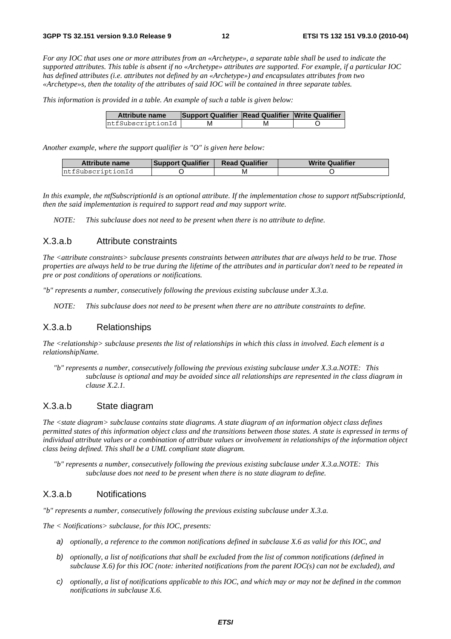*For any IOC that uses one or more attributes from an «Archetype», a separate table shall be used to indicate the supported attributes. This table is absent if no «Archetype» attributes are supported. For example, if a particular IOC has defined attributes (i.e. attributes not defined by an «Archetype») and encapsulates attributes from two «Archetype»s, then the totality of the attributes of said IOC will be contained in three separate tables.* 

*This information is provided in a table. An example of such a table is given below:*

| <b>Attribute name</b> | Support Qualifier Read Qualifier Write Qualifier |    |  |
|-----------------------|--------------------------------------------------|----|--|
| ntfSubscriptionId     |                                                  | IV |  |

*Another example, where the support qualifier is "O" is given here below:* 

| <b>Attribute name</b> | <b>Support Qualifier</b> | <b>Read Qualifier</b> | <b>Write Qualifier</b> |
|-----------------------|--------------------------|-----------------------|------------------------|
| ntfSubscriptionId     |                          | M                     |                        |

*In this example, the ntfSubscriptionId is an optional attribute. If the implementation chose to support ntfSubscriptionId, then the said implementation is required to support read and may support write.* 

*NOTE: This subclause does not need to be present when there is no attribute to define.*

#### X.3.a.b Attribute constraints

*The <attribute constraints> subclause presents constraints between attributes that are always held to be true. Those properties are always held to be true during the lifetime of the attributes and in particular don't need to be repeated in pre or post conditions of operations or notifications.* 

*"b" represents a number, consecutively following the previous existing subclause under X.3.a.* 

*NOTE: This subclause does not need to be present when there are no attribute constraints to define.* 

#### X.3.a.b Relationships

*The <relationship> subclause presents the list of relationships in which this class in involved. Each element is a relationshipName.* 

*"b" represents a number, consecutively following the previous existing subclause under X.3.a.NOTE: This subclause is optional and may be avoided since all relationships are represented in the class diagram in clause X.2.1.* 

#### X.3.a.b State diagram

*The <state diagram> subclause contains state diagrams. A state diagram of an information object class defines permitted states of this information object class and the transitions between those states. A state is expressed in terms of individual attribute values or a combination of attribute values or involvement in relationships of the information object class being defined. This shall be a UML compliant state diagram.* 

*"b" represents a number, consecutively following the previous existing subclause under X.3.a.NOTE: This subclause does not need to be present when there is no state diagram to define.* 

#### X.3.a.b Notifications

*"b" represents a number, consecutively following the previous existing subclause under X.3.a.* 

*The < Notifications> subclause, for this IOC, presents:* 

- *a) optionally, a reference to the common notifications defined in subclause X.6 as valid for this IOC, and*
- *b) optionally, a list of notifications that shall be excluded from the list of common notifications (defined in subclause X.6) for this IOC (note: inherited notifications from the parent IOC(s) can not be excluded), and*
- *c) optionally, a list of notifications applicable to this IOC, and which may or may not be defined in the common notifications in subclause X.6.*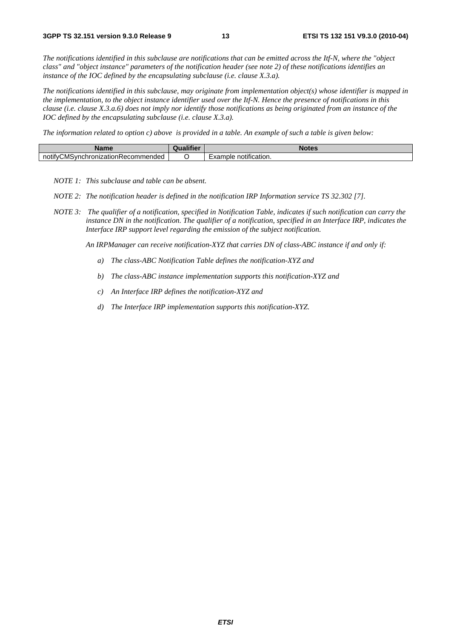*The notifications identified in this subclause are notifications that can be emitted across the Itf-N, where the "object class" and "object instance" parameters of the notification header (see note 2) of these notifications identifies an instance of the IOC defined by the encapsulating subclause (i.e. clause X.3.a).* 

*The notifications identified in this subclause, may originate from implementation object(s) whose identifier is mapped in the implementation, to the object instance identifier used over the Itf-N. Hence the presence of notifications in this clause (i.e. clause X.3.a.6) does not imply nor identify those notifications as being originated from an instance of the IOC defined by the encapsulating subclause (i.e. clause X.3.a).* 

*The information related to option c) above is provided in a table. An example of such a table is given below:* 

| Name                                           | <br><b>STATISTICS</b><br>lifiei<br><b>COMPANY</b> | <b>Notes</b>                                           |
|------------------------------------------------|---------------------------------------------------|--------------------------------------------------------|
| /CMSvnchronizationRecon<br>notify(<br>ommended |                                                   | $\cdots$<br>notification.<br>$\sqrt{2}$<br>nbie<br>8di |

*NOTE 1: This subclause and table can be absent.* 

- *NOTE 2: The notification header is defined in the notification IRP Information service TS 32.302 [7].*
- *NOTE 3: The qualifier of a notification, specified in Notification Table, indicates if such notification can carry the instance DN in the notification. The qualifier of a notification, specified in an Interface IRP, indicates the Interface IRP support level regarding the emission of the subject notification.*

*An IRPManager can receive notification-XYZ that carries DN of class-ABC instance if and only if:* 

- *a) The class-ABC Notification Table defines the notification-XYZ and*
- *b) The class-ABC instance implementation supports this notification-XYZ and*
- *c) An Interface IRP defines the notification-XYZ and*
- *d) The Interface IRP implementation supports this notification-XYZ.*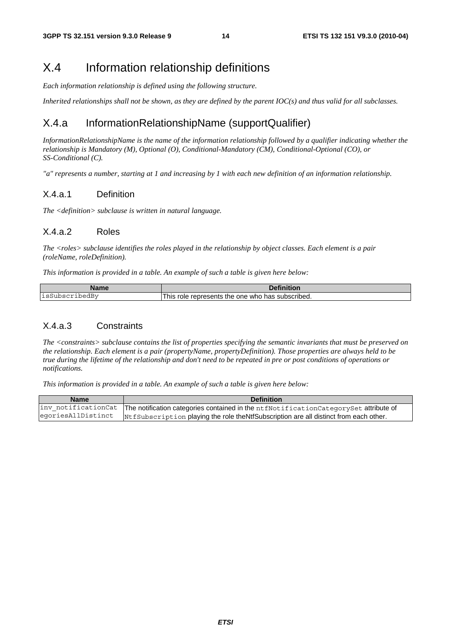### X.4 Information relationship definitions

*Each information relationship is defined using the following structure.* 

*Inherited relationships shall not be shown, as they are defined by the parent IOC(s) and thus valid for all subclasses.* 

### X.4.a InformationRelationshipName (supportQualifier)

*InformationRelationshipName is the name of the information relationship followed by a qualifier indicating whether the relationship is Mandatory (M), Optional (O), Conditional-Mandatory (CM), Conditional-Optional (CO), or SS-Conditional (C).* 

*"a" represents a number, starting at 1 and increasing by 1 with each new definition of an information relationship.* 

#### X.4.a.1 Definition

*The <definition> subclause is written in natural language.* 

#### X.4.a.2 Roles

*The <roles> subclause identifies the roles played in the relationship by object classes. Each element is a pair (roleName, roleDefinition).* 

*This information is provided in a table. An example of such a table is given here below:* 

| <b>Name</b>             | .<br>.<br>:lor                                                         |
|-------------------------|------------------------------------------------------------------------|
| ⊥sS'<br>-pedBv<br>ıpscr | l his<br>role<br>subscribed.<br>represents<br>the<br>one<br>has<br>who |

#### X.4.a.3 Constraints

*The <constraints> subclause contains the list of properties specifying the semantic invariants that must be preserved on the relationship. Each element is a pair (propertyName, propertyDefinition). Those properties are always held to be true during the lifetime of the relationship and don't need to be repeated in pre or post conditions of operations or notifications.* 

*This information is provided in a table. An example of such a table is given here below:* 

| <b>Name</b>        | <b>Definition</b>                                                                                         |
|--------------------|-----------------------------------------------------------------------------------------------------------|
|                    | inv_notificationCat  The notification categories contained in the ntfNotificationCategorySet attribute of |
| egoriesAllDistinct | NtfSubscription playing the role theNtfSubscription are all distinct from each other.                     |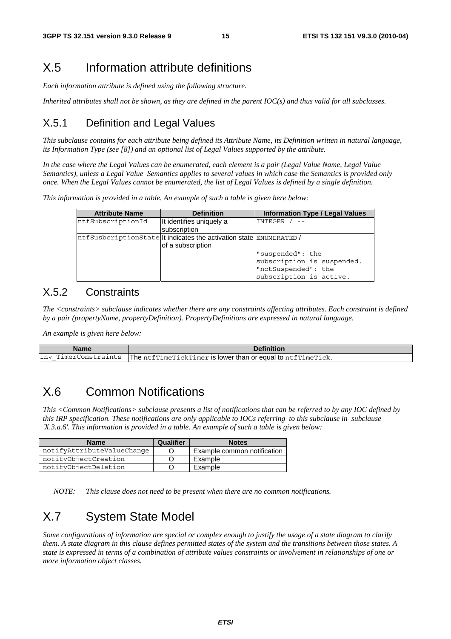## X.5 Information attribute definitions

*Each information attribute is defined using the following structure.* 

*Inherited attributes shall not be shown, as they are defined in the parent IOC(s) and thus valid for all subclasses.* 

### X.5.1 Definition and Legal Values

*This subclause contains for each attribute being defined its Attribute Name, its Definition written in natural language, its Information Type (see [8]) and an optional list of Legal Values supported by the attribute.* 

*In the case where the Legal Values can be enumerated, each element is a pair (Legal Value Name, Legal Value Semantics), unless a Legal Value Semantics applies to several values in which case the Semantics is provided only once. When the Legal Values cannot be enumerated, the list of Legal Values is defined by a single definition.* 

*This information is provided in a table. An example of such a table is given here below:* 

| <b>Attribute Name</b> | <b>Definition</b>                                                   | <b>Information Type / Legal Values</b> |
|-----------------------|---------------------------------------------------------------------|----------------------------------------|
| ntfSubscriptionId     | It identifies uniquely a                                            | INTEGER                                |
|                       | <b>subscription</b>                                                 |                                        |
|                       | ntfSusbcriptionState  t indicates the activation state ENUMERATED / |                                        |
|                       | of a subscription                                                   |                                        |
|                       |                                                                     | "suspended": the                       |
|                       |                                                                     | subscription is suspended.             |
|                       |                                                                     | "notSuspended": the                    |
|                       |                                                                     | subscription is active.                |

#### X.5.2 Constraints

*The <constraints> subclause indicates whether there are any constraints affecting attributes. Each constraint is defined by a pair (propertyName, propertyDefinition). PropertyDefinitions are expressed in natural language.* 

*An example is given here below:* 

| Name | <b>Definition</b>                                                                  |
|------|------------------------------------------------------------------------------------|
|      | inv TimerConstraints   The ntfTimeTickTimer is lower than or equal to ntfTimeTick. |

# X.6 Common Notifications

*This <Common Notifications> subclause presents a list of notifications that can be referred to by any IOC defined by this IRP specification. These notifications are only applicable to IOCs referring to this subclause in subclause 'X.3.a.6'. This information is provided in a table. An example of such a table is given below:* 

| <b>Name</b>                | Qualifier | <b>Notes</b>                |
|----------------------------|-----------|-----------------------------|
| notifyAttributeValueChange |           | Example common notification |
| notifyObjectCreation       |           | Example                     |
| notifyObjectDeletion       |           | Example                     |

*NOTE: This clause does not need to be present when there are no common notifications.* 

# X.7 System State Model

*Some configurations of information are special or complex enough to justify the usage of a state diagram to clarify them. A state diagram in this clause defines permitted states of the system and the transitions between those states. A state is expressed in terms of a combination of attribute values constraints or involvement in relationships of one or more information object classes.*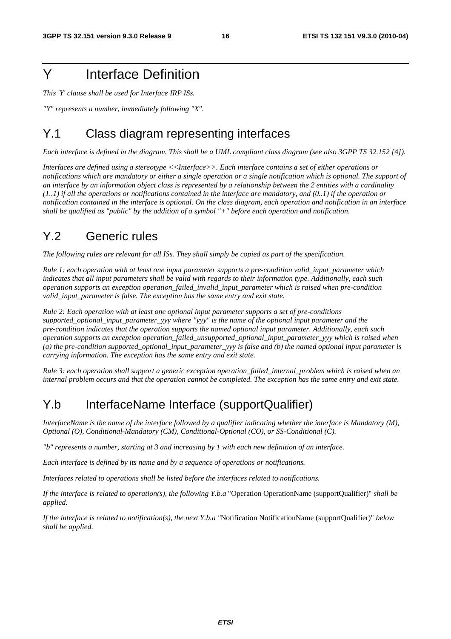# Y Interface Definition

*This 'Y' clause shall be used for Interface IRP ISs.* 

*"Y" represents a number, immediately following "X".* 

# Y.1 Class diagram representing interfaces

*Each interface is defined in the diagram. This shall be a UML compliant class diagram (see also 3GPP TS 32.152 [*4*]).* 

*Interfaces are defined using a stereotype <<Interface>>. Each interface contains a set of either operations or notifications which are mandatory or either a single operation or a single notification which is optional. The support of an interface by an information object class is represented by a relationship between the 2 entities with a cardinality (1..1) if all the operations or notifications contained in the interface are mandatory, and (0..1) if the operation or notification contained in the interface is optional. On the class diagram, each operation and notification in an interface shall be qualified as "public" by the addition of a symbol "+" before each operation and notification.* 

# Y.2 Generic rules

*The following rules are relevant for all ISs. They shall simply be copied as part of the specification.* 

*Rule 1: each operation with at least one input parameter supports a pre-condition valid\_input\_parameter which indicates that all input parameters shall be valid with regards to their information type. Additionally, each such operation supports an exception operation\_failed\_invalid\_input\_parameter which is raised when pre-condition valid\_input\_parameter is false. The exception has the same entry and exit state.* 

*Rule 2: Each operation with at least one optional input parameter supports a set of pre-conditions supported\_optional\_input\_parameter\_yyy where "yyy" is the name of the optional input parameter and the pre-condition indicates that the operation supports the named optional input parameter. Additionally, each such operation supports an exception operation\_failed\_unsupported\_optional\_input\_parameter\_yyy which is raised when (a) the pre-condition supported\_optional\_input\_parameter\_yyy is false and (b) the named optional input parameter is carrying information. The exception has the same entry and exit state.* 

*Rule 3: each operation shall support a generic exception operation\_failed\_internal\_problem which is raised when an internal problem occurs and that the operation cannot be completed. The exception has the same entry and exit state.* 

# Y.b InterfaceName Interface (supportQualifier)

*InterfaceName is the name of the interface followed by a qualifier indicating whether the interface is Mandatory (M), Optional (O), Conditional-Mandatory (CM), Conditional-Optional (CO), or SS-Conditional (C).* 

*"b" represents a number, starting at 3 and increasing by 1 with each new definition of an interface.* 

*Each interface is defined by its name and by a sequence of operations or notifications.* 

*Interfaces related to operations shall be listed before the interfaces related to notifications.* 

*If the interface is related to operation(s), the following Y.b.a* "Operation OperationName (supportQualifier)" *shall be applied.* 

*If the interface is related to notification(s), the next Y.b.a "*Notification NotificationName (supportQualifier)" *below shall be applied.*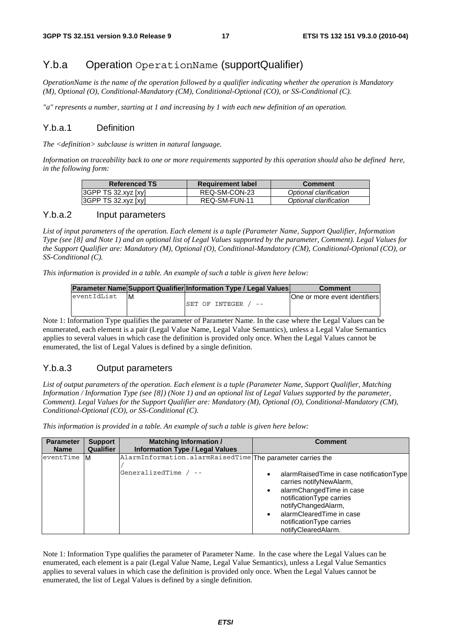### Y.b.a Operation OperationName (supportQualifier)

*OperationName is the name of the operation followed by a qualifier indicating whether the operation is Mandatory (M), Optional (O), Conditional-Mandatory (CM), Conditional-Optional (CO), or SS-Conditional (C).* 

*"a" represents a number, starting at 1 and increasing by 1 with each new definition of an operation.* 

#### Y.b.a.1 Definition

*The <definition> subclause is written in natural language.* 

*Information on traceability back to one or more requirements supported by this operation should also be defined here, in the following form:* 

| <b>Referenced TS</b> | <b>Requirement label</b> | <b>Comment</b>         |
|----------------------|--------------------------|------------------------|
| 3GPP TS 32.xyz [xy]  | REQ-SM-CON-23            | Optional clarification |
| 3GPP TS 32.xyz [xy]  | REQ-SM-FUN-11            | Optional clarification |

#### Y.b.a.2 Input parameters

*List of input parameters of the operation. Each element is a tuple (Parameter Name, Support Qualifier, Information Type (see [8] and Note 1) and an optional list of Legal Values supported by the parameter, Comment). Legal Values for the Support Qualifier are: Mandatory (M), Optional (O), Conditional-Mandatory (CM), Conditional-Optional (CO), or SS-Conditional (C).* 

*This information is provided in a table. An example of such a table is given here below:* 

|             | <b>Parameter Name Support Qualifier Information Type / Legal Values</b> |                 |   | <b>Comment</b>                |
|-------------|-------------------------------------------------------------------------|-----------------|---|-------------------------------|
| eventIdList | IМ                                                                      |                 |   | One or more event identifiers |
|             |                                                                         | ISET OF INTEGER | . |                               |
|             |                                                                         |                 |   |                               |

Note 1: Information Type qualifies the parameter of Parameter Name. In the case where the Legal Values can be enumerated, each element is a pair (Legal Value Name, Legal Value Semantics), unless a Legal Value Semantics applies to several values in which case the definition is provided only once. When the Legal Values cannot be enumerated, the list of Legal Values is defined by a single definition.

#### Y.b.a.3 Output parameters

*List of output parameters of the operation. Each element is a tuple (Parameter Name, Support Qualifier, Matching Information / Information Type (see [8]) (Note 1) and an optional list of Legal Values supported by the parameter, Comment). Legal Values for the Support Qualifier are: Mandatory (M), Optional (O), Conditional-Mandatory (CM), Conditional-Optional (CO), or SS-Conditional (C).* 

*This information is provided in a table. An example of such a table is given here below:* 

| <b>Parameter</b> | <b>Support</b>   | <b>Matching Information /</b>                                                         | <b>Comment</b>                                                                                                                                                                                                                     |
|------------------|------------------|---------------------------------------------------------------------------------------|------------------------------------------------------------------------------------------------------------------------------------------------------------------------------------------------------------------------------------|
| <b>Name</b>      | <b>Qualifier</b> | <b>Information Type / Legal Values</b>                                                |                                                                                                                                                                                                                                    |
| eventTime<br>ΙM  |                  | AlarmInformation.alarmRaisedTime The parameter carries the<br>GeneralizedTime $/ - -$ | alarmRaisedTime in case notificationType<br>carries notifyNewAlarm,<br>alarmChangedTime in case<br>notificationType carries<br>notifyChangedAlarm,<br>alarmClearedTime in case<br>notification Type carries<br>notifyClearedAlarm. |

Note 1: Information Type qualifies the parameter of Parameter Name. In the case where the Legal Values can be enumerated, each element is a pair (Legal Value Name, Legal Value Semantics), unless a Legal Value Semantics applies to several values in which case the definition is provided only once. When the Legal Values cannot be enumerated, the list of Legal Values is defined by a single definition.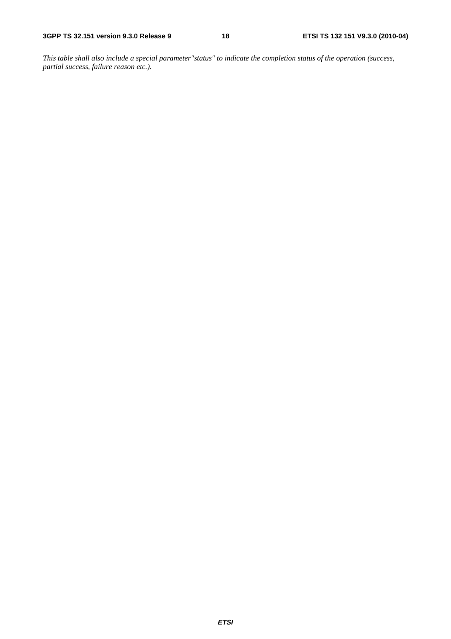*This table shall also include a special parameter"status" to indicate the completion status of the operation (success, partial success, failure reason etc.).*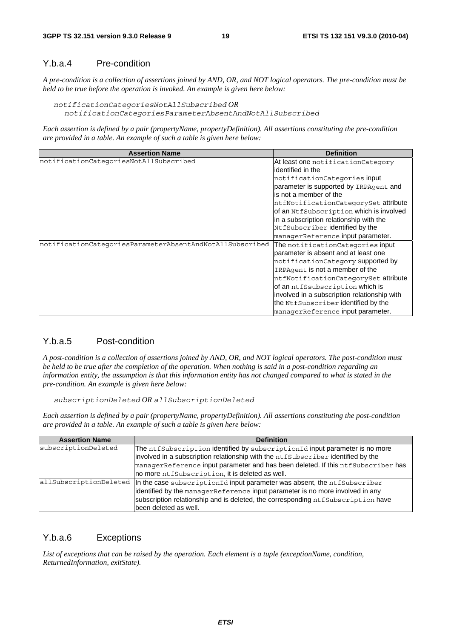#### Y.b.a.4 Pre-condition

*A pre-condition is a collection of assertions joined by AND, OR, and NOT logical operators. The pre-condition must be held to be true before the operation is invoked. An example is given here below:* 

```
notificationCategoriesNotAllSubscribed OR 
notificationCategoriesParameterAbsentAndNotAllSubscribed
```
*Each assertion is defined by a pair (propertyName, propertyDefinition). All assertions constituting the pre-condition are provided in a table. An example of such a table is given here below:* 

| <b>Assertion Name</b>                                    | <b>Definition</b>                            |
|----------------------------------------------------------|----------------------------------------------|
| notificationCategoriesNotAllSubscribed                   | At least one notification Category           |
|                                                          | identified in the                            |
|                                                          | notificationCategories input                 |
|                                                          | parameter is supported by IRPAgent and       |
|                                                          | is not a member of the                       |
|                                                          | ntfNotificationCategorySet attribute         |
|                                                          | of an NtfSubscription which is involved      |
|                                                          | in a subscription relationship with the      |
|                                                          | NtfSubscriber identified by the              |
|                                                          | managerReference input parameter.            |
| notificationCategoriesParameterAbsentAndNotAllSubscribed | The notification Categories input            |
|                                                          | Iparameter is absent and at least one        |
|                                                          | notificationCategory supported by            |
|                                                          | IRPAgent is not a member of the              |
|                                                          | ntfNotificationCategorySet attribute         |
|                                                          | of an ntfSsubscription which is              |
|                                                          | involved in a subscription relationship with |
|                                                          | the NtfSubscriber identified by the          |
|                                                          | managerReference input parameter.            |

#### Y.b.a.5 Post-condition

*A post-condition is a collection of assertions joined by AND, OR, and NOT logical operators. The post-condition must be held to be true after the completion of the operation. When nothing is said in a post-condition regarding an information entity, the assumption is that this information entity has not changed compared to what is stated in the pre-condition. An example is given here below:* 

*subscriptionDeleted OR allSubscriptionDeleted*

*Each assertion is defined by a pair (propertyName, propertyDefinition). All assertions constituting the post-condition are provided in a table. An example of such a table is given here below:* 

| <b>Assertion Name</b> | <b>Definition</b>                                                                                           |
|-----------------------|-------------------------------------------------------------------------------------------------------------|
| subscriptionDeleted   | The ntfSubscription identified by subscriptionId input parameter is no more                                 |
|                       | $ $ involved in a subscription relationship with the $ntfSubscripter\,$ identified by the                   |
|                       | $\Box$ manager $\angle$ eference input parameter and has been deleted. If this ntfSubscriber has            |
|                       | no more ntfSubscription, it is deleted as well.                                                             |
|                       | $ allSubscriptton$ Deleted $ $ In the case subscriptionId input parameter was absent, the $nt$ f Subscriber |
|                       | identified by the managerReference input parameter is no more involved in any                               |
|                       | subscription relationship and is deleted, the corresponding ntfSubscription have                            |
|                       | been deleted as well.                                                                                       |

#### Y.b.a.6 Exceptions

*List of exceptions that can be raised by the operation. Each element is a tuple (exceptionName, condition, ReturnedInformation, exitState).*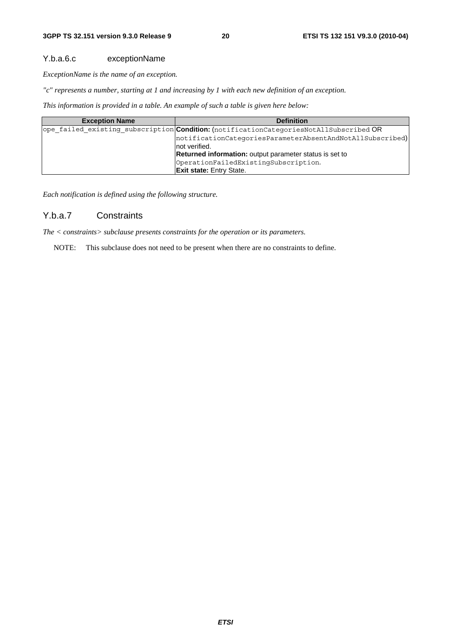#### Y.b.a.6.c exceptionName

*ExceptionName is the name of an exception.* 

*"c" represents a number, starting at 1 and increasing by 1 with each new definition of an exception.* 

*This information is provided in a table. An example of such a table is given here below:* 

| <b>Exception Name</b> | <b>Definition</b>                                                                      |
|-----------------------|----------------------------------------------------------------------------------------|
|                       | ope failed existing subscription Condition: (notificationCategoriesNotAllSubscribed OR |
|                       | notificationCategoriesParameterAbsentAndNotAllSubscribed)                              |
|                       | not verified.                                                                          |
|                       | <b>Returned information:</b> output parameter status is set to                         |
|                       | OperationFailedExistingSubscription.                                                   |
|                       | <b>Exit state: Entry State.</b>                                                        |

*Each notification is defined using the following structure.* 

#### Y.b.a.7 Constraints

*The < constraints> subclause presents constraints for the operation or its parameters.* 

NOTE: This subclause does not need to be present when there are no constraints to define.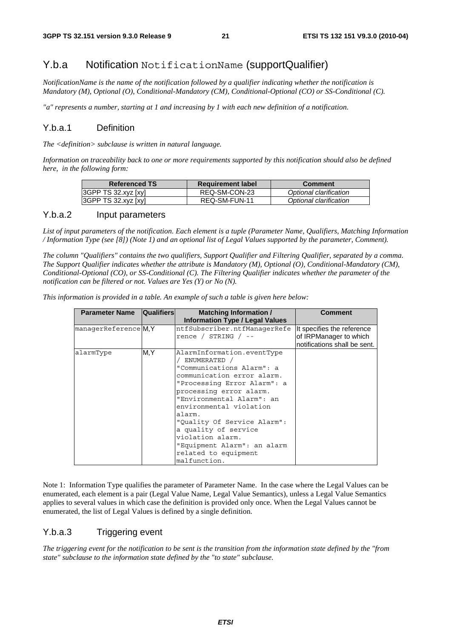### Y.b.a Notification NotificationName (supportQualifier)

*NotificationName is the name of the notification followed by a qualifier indicating whether the notification is Mandatory (M), Optional (O), Conditional-Mandatory (CM), Conditional-Optional (CO) or SS-Conditional (C).* 

*"a" represents a number, starting at 1 and increasing by 1 with each new definition of a notification.* 

#### Y.b.a.1 Definition

*The <definition> subclause is written in natural language.* 

*Information on traceability back to one or more requirements supported by this notification should also be defined here, in the following form:* 

| <b>Referenced TS</b>       | <b>Requirement label</b> | <b>Comment</b>         |
|----------------------------|--------------------------|------------------------|
| $ 3GPP$ TS $32.xyz$ $[xy]$ | REQ-SM-CON-23            | Optional clarification |
| 3GPP TS 32.xyz [xy]        | REQ-SM-FUN-11            | Optional clarification |

#### Y.b.a.2 Input parameters

*List of input parameters of the notification. Each element is a tuple (Parameter Name, Qualifiers, Matching Information / Information Type (see [8]) (Note 1) and an optional list of Legal Values supported by the parameter, Comment).* 

*The column "Qualifiers" contains the two qualifiers, Support Qualifier and Filtering Qualifier, separated by a comma. The Support Qualifier indicates whether the attribute is Mandatory (M), Optional (O), Conditional-Mandatory (CM), Conditional-Optional (CO), or SS-Conditional (C). The Filtering Qualifier indicates whether the parameter of the notification can be filtered or not. Values are Yes (Y) or No (N).* 

*This information is provided in a table. An example of such a table is given here below:* 

| <b>Parameter Name</b> | <b>Qualifiers</b> | <b>Matching Information /</b>          | Comment                      |
|-----------------------|-------------------|----------------------------------------|------------------------------|
|                       |                   | <b>Information Type / Legal Values</b> |                              |
| managerReference M.Y  |                   | ntfSubscriber.ntfManagerRefe           | It specifies the reference   |
|                       |                   | rence / $STRING$ / --                  | of IRPManager to which       |
|                       |                   |                                        | notifications shall be sent. |
| alarmType             | M.Y               | AlarmInformation.eventType             |                              |
|                       |                   | ' ENUMERATED /                         |                              |
|                       |                   | "Communications Alarm": a              |                              |
|                       |                   | communication error alarm.             |                              |
|                       |                   | "Processing Error Alarm": a            |                              |
|                       |                   | processing error alarm.                |                              |
|                       |                   | "Environmental Alarm": an              |                              |
|                       |                   | environmental violation                |                              |
|                       |                   | alarm.                                 |                              |
|                       |                   | "Quality Of Service Alarm":            |                              |
|                       |                   | a quality of service                   |                              |
|                       |                   | violation alarm.                       |                              |
|                       |                   | "Equipment Alarm": an alarm            |                              |
|                       |                   | related to equipment                   |                              |
|                       |                   | malfunction.                           |                              |

Note 1: Information Type qualifies the parameter of Parameter Name. In the case where the Legal Values can be enumerated, each element is a pair (Legal Value Name, Legal Value Semantics), unless a Legal Value Semantics applies to several values in which case the definition is provided only once. When the Legal Values cannot be enumerated, the list of Legal Values is defined by a single definition.

#### Y.b.a.3 Triggering event

*The triggering event for the notification to be sent is the transition from the information state defined by the "from state" subclause to the information state defined by the "to state" subclause.*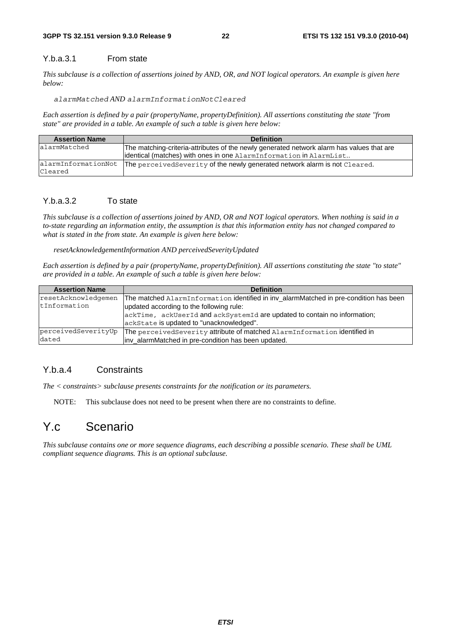#### Y.b.a.3.1 From state

*This subclause is a collection of assertions joined by AND, OR, and NOT logical operators. An example is given here below:* 

*alarmMatched AND alarmInformationNotCleared*

*Each assertion is defined by a pair (propertyName, propertyDefinition). All assertions constituting the state "from state" are provided in a table. An example of such a table is given here below:*

| <b>Assertion Name</b> | <b>Definition</b>                                                                         |
|-----------------------|-------------------------------------------------------------------------------------------|
| alarmMatched          | The matching-criteria-attributes of the newly generated network alarm has values that are |
|                       | identical (matches) with ones in one AlarmInformation in AlarmList                        |
| lalarmInformationNot  | The perceived Severity of the newly generated network alarm is not Cleared.               |
| Cleared               |                                                                                           |

#### Y.b.a.3.2 To state

*This subclause is a collection of assertions joined by AND, OR and NOT logical operators. When nothing is said in a to-state regarding an information entity, the assumption is that this information entity has not changed compared to what is stated in the from state. An example is given here below:* 

*resetAcknowledgementInformation AND perceivedSeverityUpdated* 

*Each assertion is defined by a pair (propertyName, propertyDefinition). All assertions constituting the state "to state" are provided in a table. An example of such a table is given here below:*

| <b>Assertion Name</b> | <b>Definition</b>                                                                     |
|-----------------------|---------------------------------------------------------------------------------------|
| resetAcknowledgemen   | The matched AlarmInformation identified in inv alarmMatched in pre-condition has been |
| tInformation          | updated according to the following rule:                                              |
|                       | ackTime, ackUserId and ackSystemId are updated to contain no information;             |
|                       | ackState is updated to "unacknowledged".                                              |
| perceivedSeverityUp   | The perceived Severity attribute of matched AlarmInformation identified in            |
| dated                 | linv_alarmMatched in pre-condition has been updated.                                  |

#### Y.b.a.4 Constraints

*The < constraints> subclause presents constraints for the notification or its parameters.* 

NOTE: This subclause does not need to be present when there are no constraints to define.

### Y.c Scenario

*This subclause contains one or more sequence diagrams, each describing a possible scenario. These shall be UML compliant sequence diagrams. This is an optional subclause.*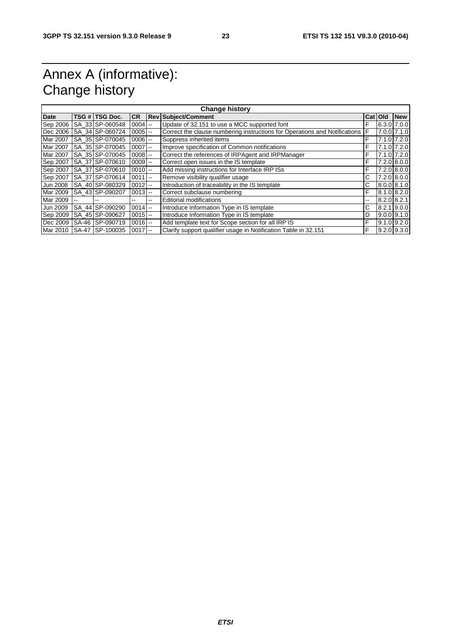# Annex A (informative): Change history

| <b>Change history</b> |       |                  |            |            |                                                                            |         |  |                 |  |  |
|-----------------------|-------|------------------|------------|------------|----------------------------------------------------------------------------|---------|--|-----------------|--|--|
| <b>Date</b>           |       | TSG # TSG Doc.   | <b>CR</b>  | <b>Rev</b> | <b>Subject/Comment</b>                                                     | Cat Old |  | <b>New</b>      |  |  |
| Sep 2006              |       | SA 33 SP-060548  | $0004$ --  |            | Update of 32.151 to use a MCC supported font                               | F       |  | 6.3.0 7.0.0     |  |  |
| Dec 2006              |       | ISA 34 SP-060724 | $0005$ $-$ |            | Correct the clause numbering instructions for Operations and Notifications | F       |  | 7.0.0 7.1.0     |  |  |
| Mar 2007              |       | SA 35 SP-070045  | $0006$ --  |            | Suppress inherited items                                                   | F       |  | 7.1.0 7.2.0     |  |  |
| Mar 2007              |       | SA 35 SP-070045  | $0007$ --  |            | Improve specification of Common notifications                              | F       |  | 7.1.0 7.2.0     |  |  |
| Mar 2007              |       | SA 35 SP-070045  | $0008$ $-$ |            | Correct the references of IRPAgent and IRPManager                          | F       |  | 7.1.0 7.2.0     |  |  |
| Sep 2007              |       | SA 37 SP-070610  | $0009$ $-$ |            | Correct open issues in the IS template                                     | F       |  | 7.2.0 8.0.0     |  |  |
| Sep 2007              |       | SA 37 SP-070610  | $0010$ --  |            | Add missing instructions for Interface IRP ISs                             | F       |  | 7.2.0 8.0.0     |  |  |
| Sep 2007              |       | SA 37 SP-070614  | $0011$ $-$ |            | Remove visibility qualifier usage                                          | С       |  | 7.2.0 8.0.0     |  |  |
| Jun 2008              |       | SA 40 SP-080329  | $0012$ --  |            | Introduction of traceability in the IS template                            | С       |  | 8.0.0 8.1.0     |  |  |
| Mar 2009              |       | SA 43 SP-090207  | $0013$ --  |            | Correct subclause numbering                                                | F       |  | 8.1.0 8.2.0     |  |  |
| Mar 2009              |       |                  |            | $- -$      | <b>Editorial modifications</b>                                             | --      |  | $8.2.0$ $8.2.1$ |  |  |
| Jun 2009              |       | SA 44 SP-090290  | $0014$ --  |            | Introduce Information Type in IS template                                  | С       |  | 8.2.1 9.0.0     |  |  |
| Sep 2009              |       | SA 45 SP-090627  | $0015$ --  |            | Introduce Information Type in IS template                                  | D       |  | $9.0.0$ $9.1.0$ |  |  |
| Dec 2009              | SA-46 | SP-090719        | $0016$ --  |            | Add template text for Scope section for all IRP IS                         | F       |  | $9.1.0$ $9.2.0$ |  |  |
| Mar 2010              |       | SA-47 SP-100035  | $0017$ --  |            | Clarify support qualifier usage in Notification Table in 32.151            | F       |  | $9.2.0$ $9.3.0$ |  |  |